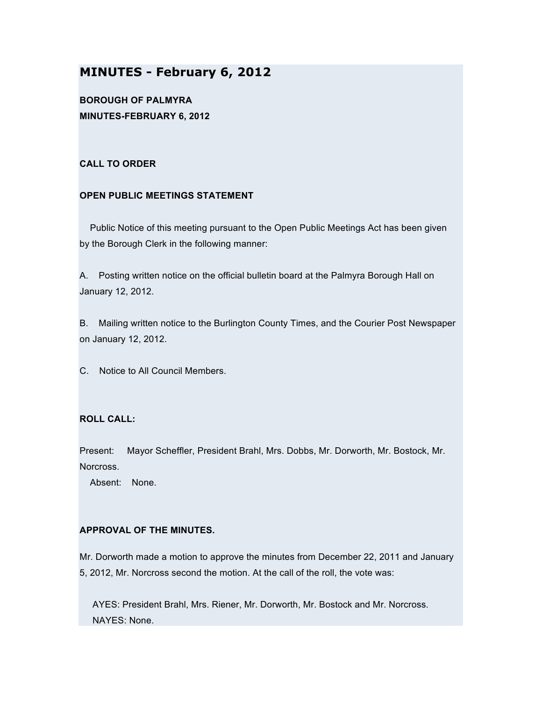# **MINUTES - February 6, 2012**

**BOROUGH OF PALMYRA MINUTES-FEBRUARY 6, 2012**

## **CALL TO ORDER**

# **OPEN PUBLIC MEETINGS STATEMENT**

Public Notice of this meeting pursuant to the Open Public Meetings Act has been given by the Borough Clerk in the following manner:

A. Posting written notice on the official bulletin board at the Palmyra Borough Hall on January 12, 2012.

B. Mailing written notice to the Burlington County Times, and the Courier Post Newspaper on January 12, 2012.

C. Notice to All Council Members.

# **ROLL CALL:**

Present: Mayor Scheffler, President Brahl, Mrs. Dobbs, Mr. Dorworth, Mr. Bostock, Mr. Norcross.

Absent: None.

# **APPROVAL OF THE MINUTES.**

Mr. Dorworth made a motion to approve the minutes from December 22, 2011 and January 5, 2012, Mr. Norcross second the motion. At the call of the roll, the vote was:

AYES: President Brahl, Mrs. Riener, Mr. Dorworth, Mr. Bostock and Mr. Norcross. NAYES: None.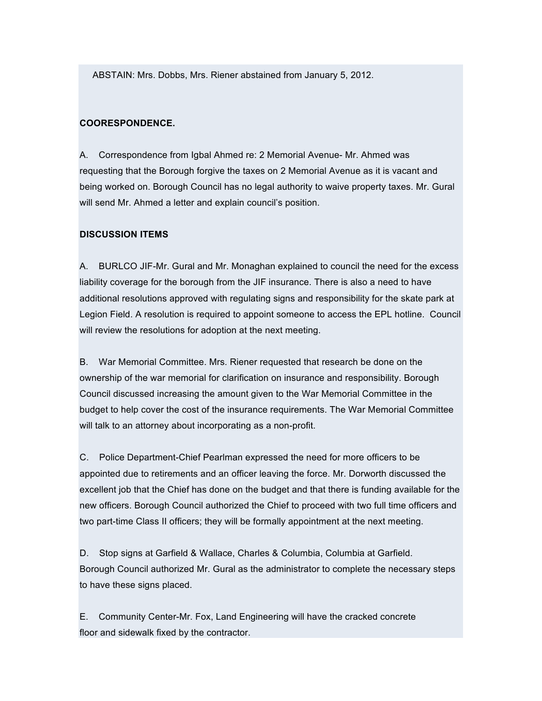ABSTAIN: Mrs. Dobbs, Mrs. Riener abstained from January 5, 2012.

## **COORESPONDENCE.**

A. Correspondence from Igbal Ahmed re: 2 Memorial Avenue- Mr. Ahmed was requesting that the Borough forgive the taxes on 2 Memorial Avenue as it is vacant and being worked on. Borough Council has no legal authority to waive property taxes. Mr. Gural will send Mr. Ahmed a letter and explain council's position.

#### **DISCUSSION ITEMS**

A. BURLCO JIF-Mr. Gural and Mr. Monaghan explained to council the need for the excess liability coverage for the borough from the JIF insurance. There is also a need to have additional resolutions approved with regulating signs and responsibility for the skate park at Legion Field. A resolution is required to appoint someone to access the EPL hotline. Council will review the resolutions for adoption at the next meeting.

B. War Memorial Committee. Mrs. Riener requested that research be done on the ownership of the war memorial for clarification on insurance and responsibility. Borough Council discussed increasing the amount given to the War Memorial Committee in the budget to help cover the cost of the insurance requirements. The War Memorial Committee will talk to an attorney about incorporating as a non-profit.

C. Police Department-Chief Pearlman expressed the need for more officers to be appointed due to retirements and an officer leaving the force. Mr. Dorworth discussed the excellent job that the Chief has done on the budget and that there is funding available for the new officers. Borough Council authorized the Chief to proceed with two full time officers and two part-time Class II officers; they will be formally appointment at the next meeting.

D. Stop signs at Garfield & Wallace, Charles & Columbia, Columbia at Garfield. Borough Council authorized Mr. Gural as the administrator to complete the necessary steps to have these signs placed.

E. Community Center-Mr. Fox, Land Engineering will have the cracked concrete floor and sidewalk fixed by the contractor.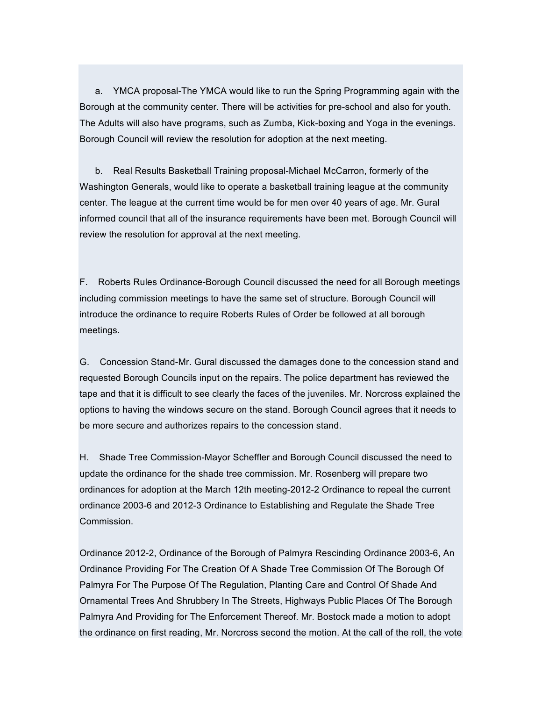a. YMCA proposal-The YMCA would like to run the Spring Programming again with the Borough at the community center. There will be activities for pre-school and also for youth. The Adults will also have programs, such as Zumba, Kick-boxing and Yoga in the evenings. Borough Council will review the resolution for adoption at the next meeting.

b. Real Results Basketball Training proposal-Michael McCarron, formerly of the Washington Generals, would like to operate a basketball training league at the community center. The league at the current time would be for men over 40 years of age. Mr. Gural informed council that all of the insurance requirements have been met. Borough Council will review the resolution for approval at the next meeting.

F. Roberts Rules Ordinance-Borough Council discussed the need for all Borough meetings including commission meetings to have the same set of structure. Borough Council will introduce the ordinance to require Roberts Rules of Order be followed at all borough meetings.

G. Concession Stand-Mr. Gural discussed the damages done to the concession stand and requested Borough Councils input on the repairs. The police department has reviewed the tape and that it is difficult to see clearly the faces of the juveniles. Mr. Norcross explained the options to having the windows secure on the stand. Borough Council agrees that it needs to be more secure and authorizes repairs to the concession stand.

H. Shade Tree Commission-Mayor Scheffler and Borough Council discussed the need to update the ordinance for the shade tree commission. Mr. Rosenberg will prepare two ordinances for adoption at the March 12th meeting-2012-2 Ordinance to repeal the current ordinance 2003-6 and 2012-3 Ordinance to Establishing and Regulate the Shade Tree Commission.

Ordinance 2012-2, Ordinance of the Borough of Palmyra Rescinding Ordinance 2003-6, An Ordinance Providing For The Creation Of A Shade Tree Commission Of The Borough Of Palmyra For The Purpose Of The Regulation, Planting Care and Control Of Shade And Ornamental Trees And Shrubbery In The Streets, Highways Public Places Of The Borough Palmyra And Providing for The Enforcement Thereof. Mr. Bostock made a motion to adopt the ordinance on first reading, Mr. Norcross second the motion. At the call of the roll, the vote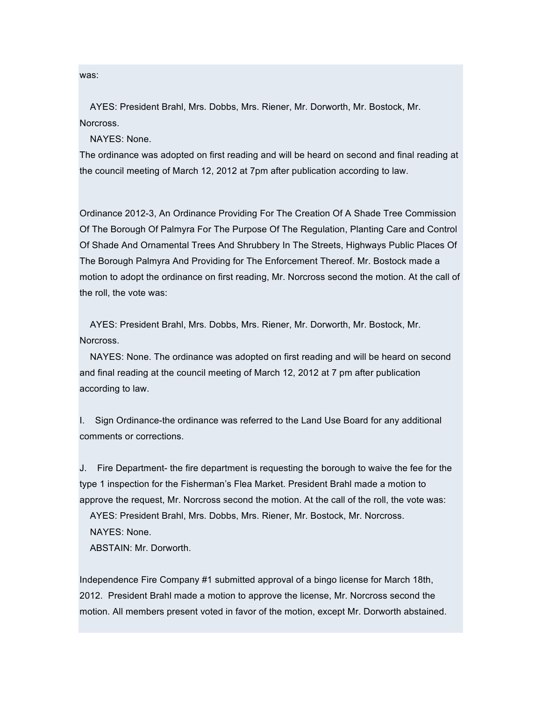was:

AYES: President Brahl, Mrs. Dobbs, Mrs. Riener, Mr. Dorworth, Mr. Bostock, Mr. Norcross.

NAYES: None.

The ordinance was adopted on first reading and will be heard on second and final reading at the council meeting of March 12, 2012 at 7pm after publication according to law.

Ordinance 2012-3, An Ordinance Providing For The Creation Of A Shade Tree Commission Of The Borough Of Palmyra For The Purpose Of The Regulation, Planting Care and Control Of Shade And Ornamental Trees And Shrubbery In The Streets, Highways Public Places Of The Borough Palmyra And Providing for The Enforcement Thereof. Mr. Bostock made a motion to adopt the ordinance on first reading, Mr. Norcross second the motion. At the call of the roll, the vote was:

AYES: President Brahl, Mrs. Dobbs, Mrs. Riener, Mr. Dorworth, Mr. Bostock, Mr. Norcross.

NAYES: None. The ordinance was adopted on first reading and will be heard on second and final reading at the council meeting of March 12, 2012 at 7 pm after publication according to law.

I. Sign Ordinance-the ordinance was referred to the Land Use Board for any additional comments or corrections.

J. Fire Department- the fire department is requesting the borough to waive the fee for the type 1 inspection for the Fisherman's Flea Market. President Brahl made a motion to approve the request, Mr. Norcross second the motion. At the call of the roll, the vote was:

AYES: President Brahl, Mrs. Dobbs, Mrs. Riener, Mr. Bostock, Mr. Norcross. NAYES: None.

ABSTAIN: Mr. Dorworth.

Independence Fire Company #1 submitted approval of a bingo license for March 18th, 2012. President Brahl made a motion to approve the license, Mr. Norcross second the motion. All members present voted in favor of the motion, except Mr. Dorworth abstained.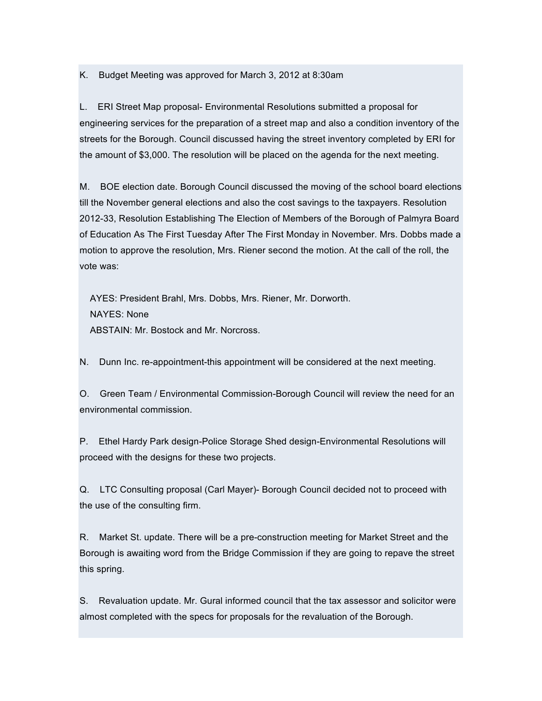K. Budget Meeting was approved for March 3, 2012 at 8:30am

L. ERI Street Map proposal- Environmental Resolutions submitted a proposal for engineering services for the preparation of a street map and also a condition inventory of the streets for the Borough. Council discussed having the street inventory completed by ERI for the amount of \$3,000. The resolution will be placed on the agenda for the next meeting.

M. BOE election date. Borough Council discussed the moving of the school board elections till the November general elections and also the cost savings to the taxpayers. Resolution 2012-33, Resolution Establishing The Election of Members of the Borough of Palmyra Board of Education As The First Tuesday After The First Monday in November. Mrs. Dobbs made a motion to approve the resolution, Mrs. Riener second the motion. At the call of the roll, the vote was:

AYES: President Brahl, Mrs. Dobbs, Mrs. Riener, Mr. Dorworth. NAYES: None ABSTAIN: Mr. Bostock and Mr. Norcross.

N. Dunn Inc. re-appointment-this appointment will be considered at the next meeting.

O. Green Team / Environmental Commission-Borough Council will review the need for an environmental commission.

P. Ethel Hardy Park design-Police Storage Shed design-Environmental Resolutions will proceed with the designs for these two projects.

Q. LTC Consulting proposal (Carl Mayer)- Borough Council decided not to proceed with the use of the consulting firm.

R. Market St. update. There will be a pre-construction meeting for Market Street and the Borough is awaiting word from the Bridge Commission if they are going to repave the street this spring.

S. Revaluation update. Mr. Gural informed council that the tax assessor and solicitor were almost completed with the specs for proposals for the revaluation of the Borough.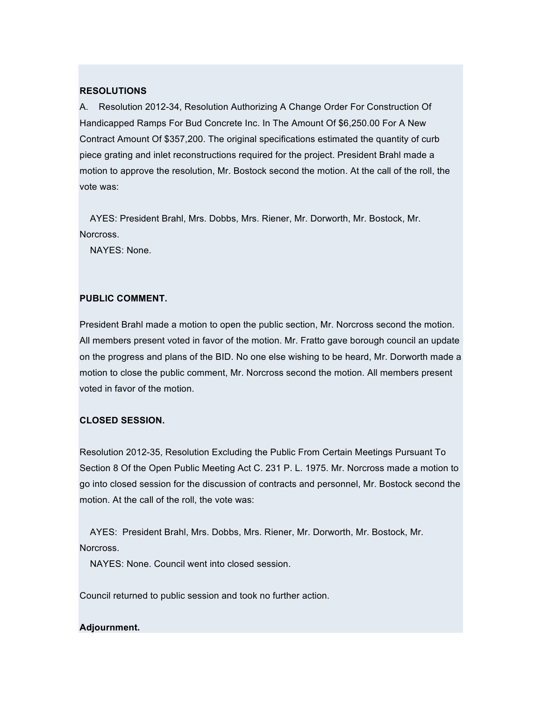#### **RESOLUTIONS**

A. Resolution 2012-34, Resolution Authorizing A Change Order For Construction Of Handicapped Ramps For Bud Concrete Inc. In The Amount Of \$6,250.00 For A New Contract Amount Of \$357,200. The original specifications estimated the quantity of curb piece grating and inlet reconstructions required for the project. President Brahl made a motion to approve the resolution, Mr. Bostock second the motion. At the call of the roll, the vote was:

AYES: President Brahl, Mrs. Dobbs, Mrs. Riener, Mr. Dorworth, Mr. Bostock, Mr. Norcross.

NAYES: None.

## **PUBLIC COMMENT.**

President Brahl made a motion to open the public section, Mr. Norcross second the motion. All members present voted in favor of the motion. Mr. Fratto gave borough council an update on the progress and plans of the BID. No one else wishing to be heard, Mr. Dorworth made a motion to close the public comment, Mr. Norcross second the motion. All members present voted in favor of the motion.

## **CLOSED SESSION.**

Resolution 2012-35, Resolution Excluding the Public From Certain Meetings Pursuant To Section 8 Of the Open Public Meeting Act C. 231 P. L. 1975. Mr. Norcross made a motion to go into closed session for the discussion of contracts and personnel, Mr. Bostock second the motion. At the call of the roll, the vote was:

AYES: President Brahl, Mrs. Dobbs, Mrs. Riener, Mr. Dorworth, Mr. Bostock, Mr. Norcross.

NAYES: None. Council went into closed session.

Council returned to public session and took no further action.

#### **Adjournment.**